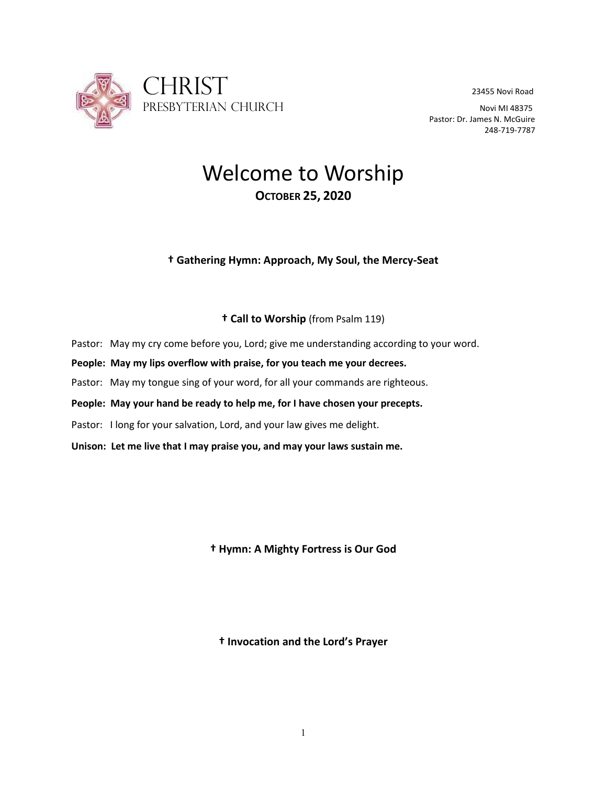

Pastor: Dr. James N. McGuire 248-719-7787

# Welcome to Worship **OCTOBER 25, 2020**

## **† Gathering Hymn: Approach, My Soul, the Mercy-Seat**

## **† Call to Worship** (from Psalm 119)

- Pastor: May my cry come before you, Lord; give me understanding according to your word.
- **People: May my lips overflow with praise, for you teach me your decrees.**
- Pastor: May my tongue sing of your word, for all your commands are righteous.
- **People: May your hand be ready to help me, for I have chosen your precepts.**
- Pastor: I long for your salvation, Lord, and your law gives me delight.
- **Unison: Let me live that I may praise you, and may your laws sustain me.**

**† Hymn: A Mighty Fortress is Our God**

**† Invocation and the Lord's Prayer**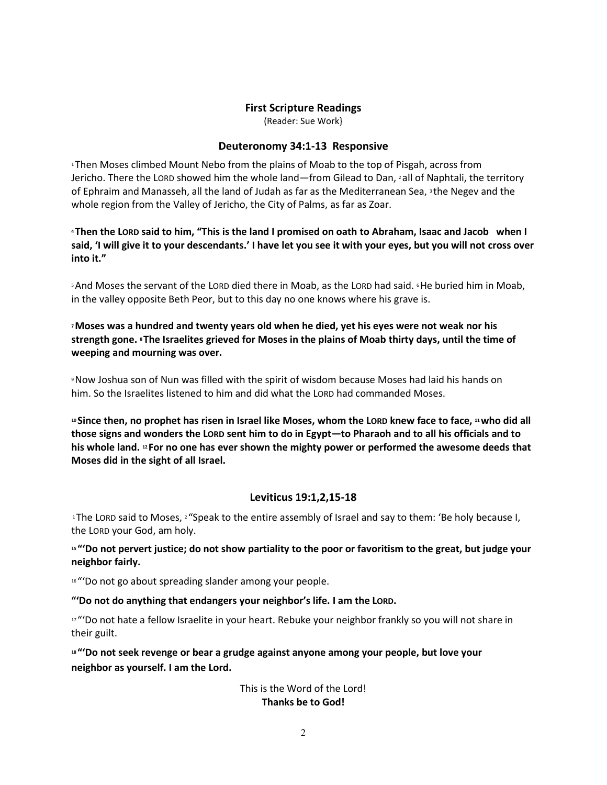## **First Scripture Readings**

(Reader: Sue Work}

## **Deuteronomy 34:1-13 Responsive**

<sup>1</sup>Then Moses climbed Mount Nebo from the plains of Moab to the top of Pisgah, across from Jericho. There the LORD showed him the whole land—from Gilead to Dan, <sup>2</sup> all of Naphtali, the territory of Ephraim and Manasseh, all the land of Judah as far as the Mediterranean Sea, <sup>3</sup> the Negev and the whole region from the Valley of Jericho, the City of Palms, as far as Zoar.

**<sup>4</sup> Then the LORD said to him, "This is the land I promised on oath to Abraham, Isaac and Jacob when I said, 'I will give it to your descendants.' I have let you see it with your eyes, but you will not cross over into it."**

<sup>5</sup>And Moses the servant of the LORD died there in Moab, as the LORD had said. <sup>6</sup>He buried him in Moab, in the valley opposite Beth Peor, but to this day no one knows where his grave is.

**<sup>7</sup>Moses was a hundred and twenty years old when he died, yet his eyes were not weak nor his strength gone. <sup>8</sup> The Israelites grieved for Moses in the plains of Moab thirty days, until the time of weeping and mourning was over.**

<sup>9</sup>Now Joshua son of Nun was filled with the spirit of wisdom because Moses had laid his hands on him. So the Israelites listened to him and did what the LORD had commanded Moses.

**<sup>10</sup> Since then, no prophet has risen in Israel like Moses, whom the LORD knew face to face, <sup>11</sup>who did all those signs and wonders the LORD sent him to do in Egypt—to Pharaoh and to all his officials and to his whole land. <sup>12</sup> For no one has ever shown the mighty power or performed the awesome deeds that Moses did in the sight of all Israel.**

## **Leviticus 19:1,2,15-18**

<sup>1</sup>The LORD said to Moses, <sup>2</sup> "Speak to the entire assembly of Israel and say to them: 'Be holy because I, the LORD your God, am holy.

**<sup>15</sup> "'Do not pervert justice; do not show partiality to the poor or favoritism to the great, but judge your neighbor fairly.**

16 "'Do not go about spreading slander among your people.

**"'Do not do anything that endangers your neighbor's life. I am the LORD.**

17 "'Do not hate a fellow Israelite in your heart. Rebuke your neighbor frankly so you will not share in their guilt.

**<sup>18</sup> "'Do not seek revenge or bear a grudge against anyone among your people, but love your neighbor as yourself. I am the Lord.** 

> This is the Word of the Lord! **Thanks be to God!**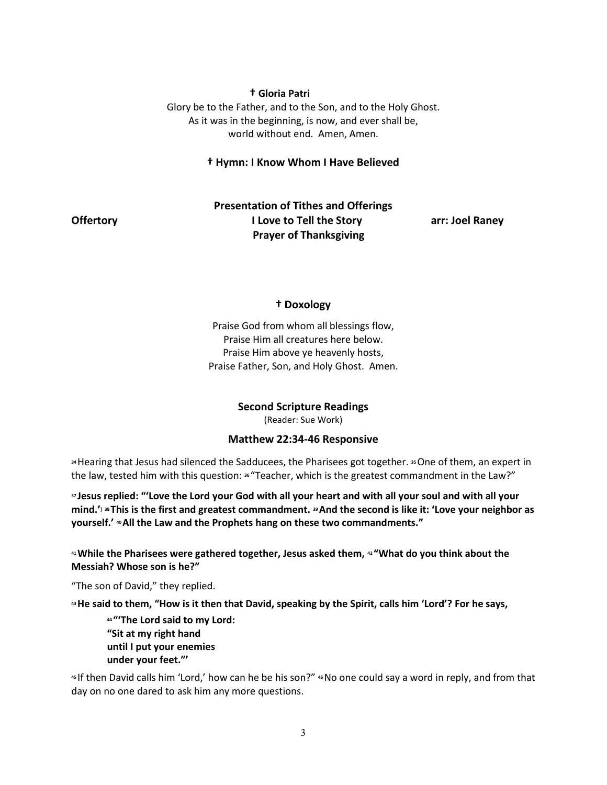## **† Gloria Patri**

Glory be to the Father, and to the Son, and to the Holy Ghost. As it was in the beginning, is now, and ever shall be, world without end. Amen, Amen.

## **† Hymn: I Know Whom I Have Believed**

## **Presentation of Tithes and Offerings Offertory I Love to Tell the Story <b>arr:** Joel Raney  **Prayer of Thanksgiving**

#### **† Doxology**

Praise God from whom all blessings flow, Praise Him all creatures here below. Praise Him above ye heavenly hosts, Praise Father, Son, and Holy Ghost. Amen.

#### **Second Scripture Readings**

(Reader: Sue Work)

## **Matthew 22:34-46 Responsive**

**<sup>34</sup>**Hearing that Jesus had silenced the Sadducees, the Pharisees got together. **<sup>35</sup>**One of them, an expert in the law, tested him with this question: **<sup>36</sup>** "Teacher, which is the greatest commandment in the Law?"

**<sup>37</sup> Jesus replied: "'Love the Lord your God with all your heart and with all your soul and with all your mind.'] <sup>38</sup> This is the first and greatest commandment. <sup>39</sup>And the second is like it: 'Love your neighbor as yourself.' <sup>40</sup>All the Law and the Prophets hang on these two commandments."**

**<sup>41</sup>While the Pharisees were gathered together, Jesus asked them, <sup>42</sup> "What do you think about the Messiah? Whose son is he?"**

"The son of David," they replied.

**<sup>43</sup>He said to them, "How is it then that David, speaking by the Spirit, calls him 'Lord'? For he says,**

**<sup>44</sup> "'The Lord said to my Lord: "Sit at my right hand until I put your enemies under your feet."'**

**<sup>45</sup>** If then David calls him 'Lord,' how can he be his son?" **<sup>46</sup>**No one could say a word in reply, and from that day on no one dared to ask him any more questions.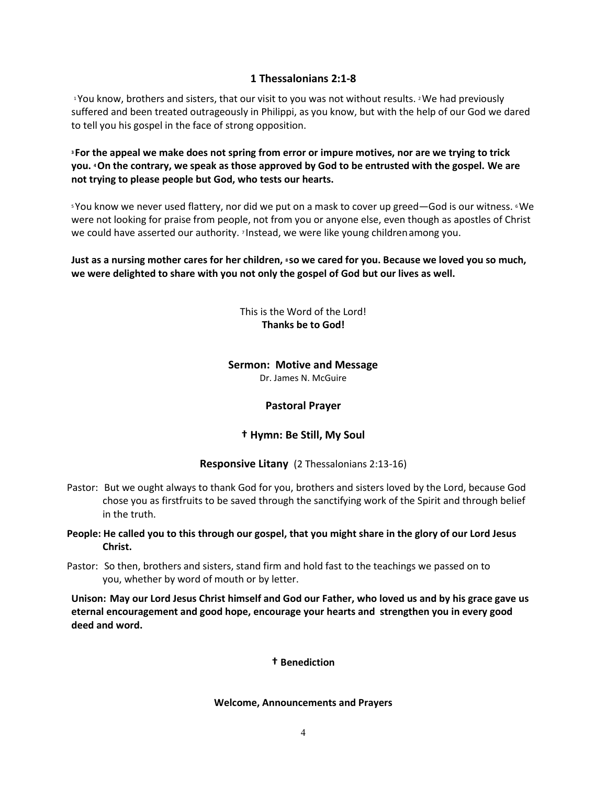## **1 Thessalonians 2:1-8**

<sup>1</sup>You know, brothers and sisters, that our visit to you was not without results. <sup>2</sup>We had previously suffered and been treated outrageously in Philippi, as you know, but with the help of our God we dared to tell you his gospel in the face of strong opposition.

**<sup>3</sup> For the appeal we make does not spring from error or impure motives, nor are we trying to trick you. <sup>4</sup>On the contrary, we speak as those approved by God to be entrusted with the gospel. We are not trying to please people but God, who tests our hearts.**

<sup>5</sup> You know we never used flattery, nor did we put on a mask to cover up greed—God is our witness. <sup>6</sup> We were not looking for praise from people, not from you or anyone else, even though as apostles of Christ we could have asserted our authority. <sup>7</sup> Instead, we were like young childrenamong you.

**Just as a nursing mother cares for her children, <sup>8</sup> so we cared for you. Because we loved you so much, we were delighted to share with you not only the gospel of God but our lives as well.**

> This is the Word of the Lord! **Thanks be to God!**

## **Sermon: Motive and Message**

Dr. James N. McGuire

## **Pastoral Prayer**

## **† Hymn: Be Still, My Soul**

## **Responsive Litany** (2 Thessalonians 2:13-16)

- Pastor: But we ought always to thank God for you, brothers and sisters loved by the Lord, because God chose you as firstfruits to be saved through the sanctifying work of the Spirit and through belief in the truth.
- **People: He called you to this through our gospel, that you might share in the glory of our Lord Jesus Christ.**
- Pastor: So then, brothers and sisters, stand firm and hold fast to the teachings we passed on to you, whether by word of mouth or by letter.

**Unison: May our Lord Jesus Christ himself and God our Father, who loved us and by his grace gave us eternal encouragement and good hope, encourage your hearts and strengthen you in every good deed and word.**

## **† Benediction**

## **Welcome, Announcements and Prayers**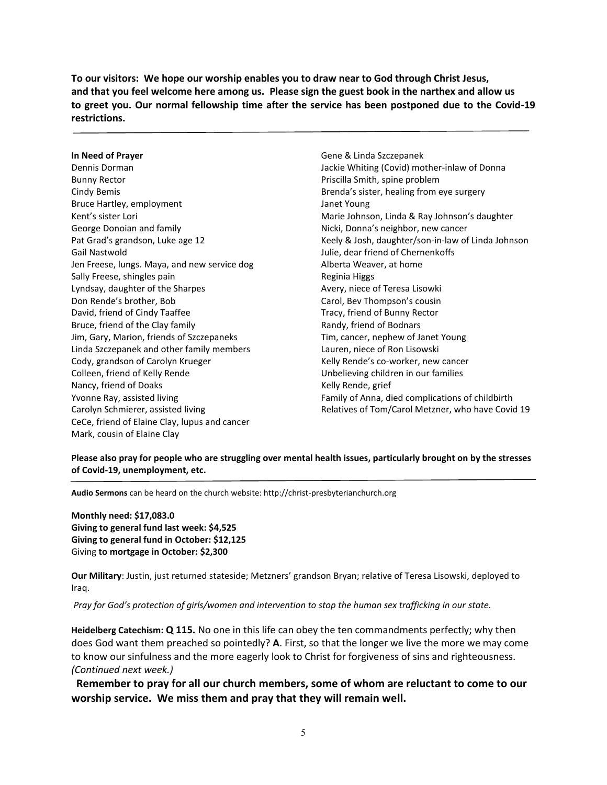**To our visitors: We hope our worship enables you to draw near to God through Christ Jesus, and that you feel welcome here among us. Please sign the guest book in the narthex and allow us to greet you. Our normal fellowship time after the service has been postponed due to the Covid-19 restrictions.**

#### **In Need of Prayer**

Dennis Dorman Bunny Rector Cindy Bemis Bruce Hartley, employment Kent's sister Lori George Donoian and family Pat Grad's grandson, Luke age 12 Gail Nastwold Jen Freese, lungs. Maya, and new service dog Sally Freese, shingles pain Lyndsay, daughter of the Sharpes Don Rende's brother, Bob David, friend of Cindy Taaffee Bruce, friend of the Clay family Jim, Gary, Marion, friends of Szczepaneks Linda Szczepanek and other family members Cody, grandson of Carolyn Krueger Colleen, friend of Kelly Rende Nancy, friend of Doaks Yvonne Ray, assisted living Carolyn Schmierer, assisted living CeCe, friend of Elaine Clay, lupus and cancer Mark, cousin of Elaine Clay

Gene & Linda Szczepanek Jackie Whiting (Covid) mother-inlaw of Donna Priscilla Smith, spine problem Brenda's sister, healing from eye surgery Janet Young Marie Johnson, Linda & Ray Johnson's daughter Nicki, Donna's neighbor, new cancer Keely & Josh, daughter/son-in-law of Linda Johnson Julie, dear friend of Chernenkoffs Alberta Weaver, at home Reginia Higgs Avery, niece of Teresa Lisowki Carol, Bev Thompson's cousin Tracy, friend of Bunny Rector Randy, friend of Bodnars Tim, cancer, nephew of Janet Young Lauren, niece of Ron Lisowski Kelly Rende's co-worker, new cancer Unbelieving children in our families Kelly Rende, grief Family of Anna, died complications of childbirth Relatives of Tom/Carol Metzner, who have Covid 19

**Please also pray for people who are struggling over mental health issues, particularly brought on by the stresses of Covid-19, unemployment, etc.**

**Audio Sermons** can be heard on the church website: http://christ-presbyterianchurch.org

**Monthly need: \$17,083.0 Giving to general fund last week: \$4,525 Giving to general fund in October: \$12,125** Giving **to mortgage in October: \$2,300**

**Our Military**: Justin, just returned stateside; Metzners' grandson Bryan; relative of Teresa Lisowski, deployed to Iraq.

*Pray for God's protection of girls/women and intervention to stop the human sex trafficking in our state.* 

**Heidelberg Catechism: Q 115.** No one in this life can obey the ten commandments perfectly; why then does God want them preached so pointedly? **A**. First, so that the longer we live the more we may come to know our sinfulness and the more eagerly look to Christ for forgiveness of sins and righteousness. *(Continued next week.)*

**Remember to pray for all our church members, some of whom are reluctant to come to our worship service. We miss them and pray that they will remain well.**